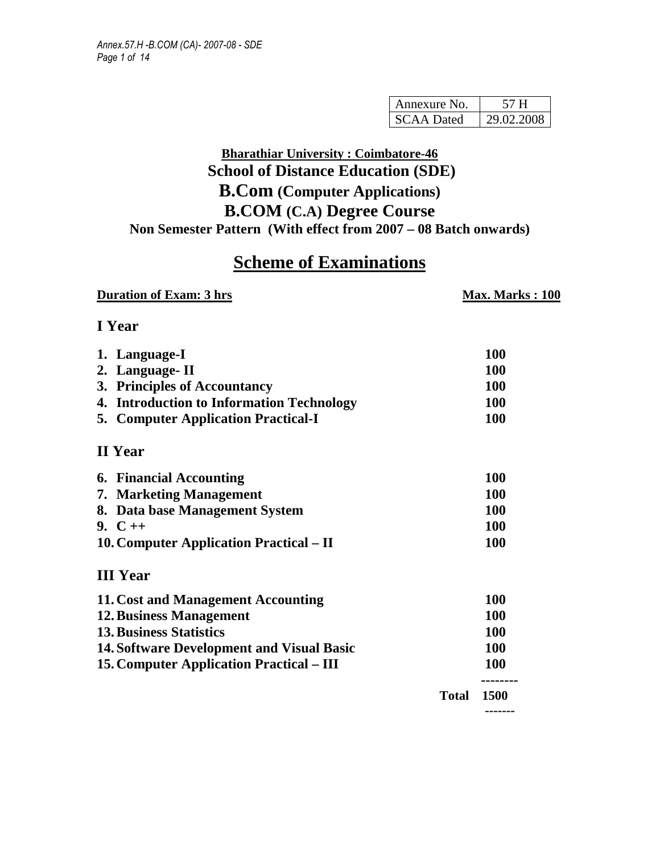| Annexure No.      |            |  |  |
|-------------------|------------|--|--|
| <b>SCAA Dated</b> | 29.02.2008 |  |  |

# **Bharathiar University : Coimbatore-46 School of Distance Education (SDE) B.Com (Computer Applications) B.COM (C.A) Degree Course Non Semester Pattern (With effect from 2007 – 08 Batch onwards)**

# **Scheme of Examinations**

| <b>Duration of Exam: 3 hrs</b>                   |              | <b>Max. Marks: 100</b> |
|--------------------------------------------------|--------------|------------------------|
| I Year                                           |              |                        |
| 1. Language-I                                    |              | <b>100</b>             |
| 2. Language-II                                   |              | 100                    |
| 3. Principles of Accountancy                     |              | 100                    |
| 4. Introduction to Information Technology        |              | 100                    |
| <b>5. Computer Application Practical-I</b>       |              | 100                    |
| <b>II</b> Year                                   |              |                        |
| <b>6. Financial Accounting</b>                   |              | 100                    |
| 7. Marketing Management                          |              | 100                    |
| 8. Data base Management System                   |              | 100                    |
| 9. $C++$                                         |              | <b>100</b>             |
| 10. Computer Application Practical – II          |              | 100                    |
| <b>III</b> Year                                  |              |                        |
| 11. Cost and Management Accounting               |              | 100                    |
| <b>12. Business Management</b>                   |              | 100                    |
| <b>13. Business Statistics</b>                   |              | 100                    |
| <b>14. Software Development and Visual Basic</b> |              | <b>100</b>             |
| <b>15. Computer Application Practical – III</b>  |              | 100                    |
|                                                  | <b>Total</b> | .<br>1500              |
|                                                  |              | -------                |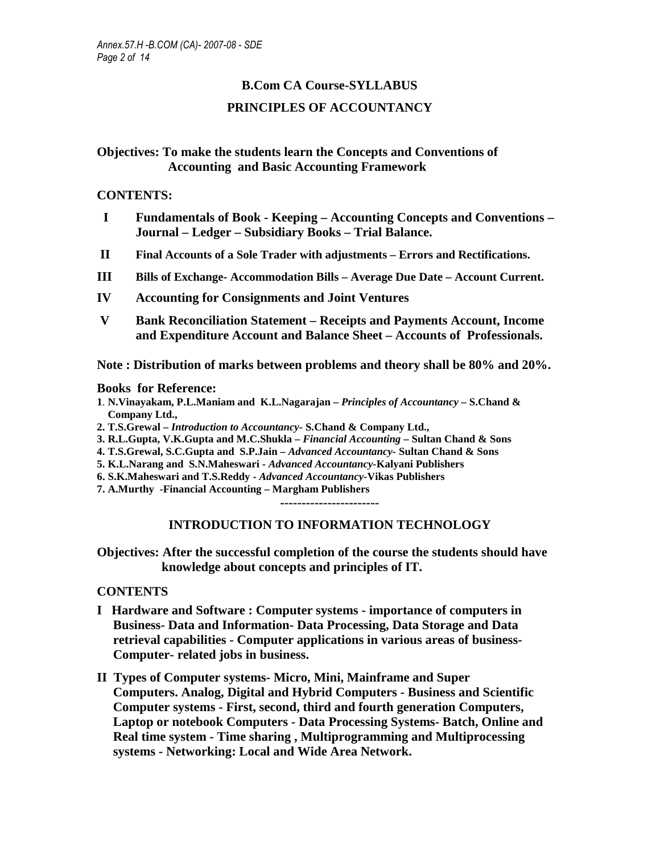## **B.Com CA Course-SYLLABUS PRINCIPLES OF ACCOUNTANCY**

### **Objectives: To make the students learn the Concepts and Conventions of Accounting and Basic Accounting Framework**

#### **CONTENTS:**

- **I Fundamentals of Book Keeping Accounting Concepts and Conventions Journal – Ledger – Subsidiary Books – Trial Balance.**
- **II Final Accounts of a Sole Trader with adjustments Errors and Rectifications.**
- **III Bills of Exchange- Accommodation Bills Average Due Date Account Current.**
- **IV Accounting for Consignments and Joint Ventures**
- **V Bank Reconciliation Statement Receipts and Payments Account, Income and Expenditure Account and Balance Sheet – Accounts of Professionals.**

**Note : Distribution of marks between problems and theory shall be 80% and 20%.** 

#### **Books for Reference:**

- **1**. **N.Vinayakam, P.L.Maniam and K.L.Nagarajan** *Principles of Accountancy* **S.Chand & Company Ltd.,**
- **2. T.S.Grewal** *Introduction to Accountancy-* **S.Chand & Company Ltd.,**
- **3. R.L.Gupta, V.K.Gupta and M.C.Shukla** *Financial Accounting* **Sultan Chand & Sons**
- **4. T.S.Grewal, S.C.Gupta and S.P.Jain** *Advanced Accountancy-* **Sultan Chand & Sons**
- **5. K.L.Narang and S.N.Maheswari** *Advanced Accountancy-***Kalyani Publishers**
- **6. S.K.Maheswari and T.S.Reddy** *Advanced Accountancy-***Vikas Publishers**
- **7. A.Murthy -Financial Accounting Margham Publishers**

**-----------------------** 

### **INTRODUCTION TO INFORMATION TECHNOLOGY**

**Objectives: After the successful completion of the course the students should have knowledge about concepts and principles of IT.** 

### **CONTENTS**

- **I Hardware and Software : Computer systems importance of computers in Business- Data and Information- Data Processing, Data Storage and Data retrieval capabilities - Computer applications in various areas of business-Computer- related jobs in business.**
- **II Types of Computer systems- Micro, Mini, Mainframe and Super Computers. Analog, Digital and Hybrid Computers - Business and Scientific Computer systems - First, second, third and fourth generation Computers, Laptop or notebook Computers - Data Processing Systems- Batch, Online and Real time system - Time sharing , Multiprogramming and Multiprocessing systems - Networking: Local and Wide Area Network.**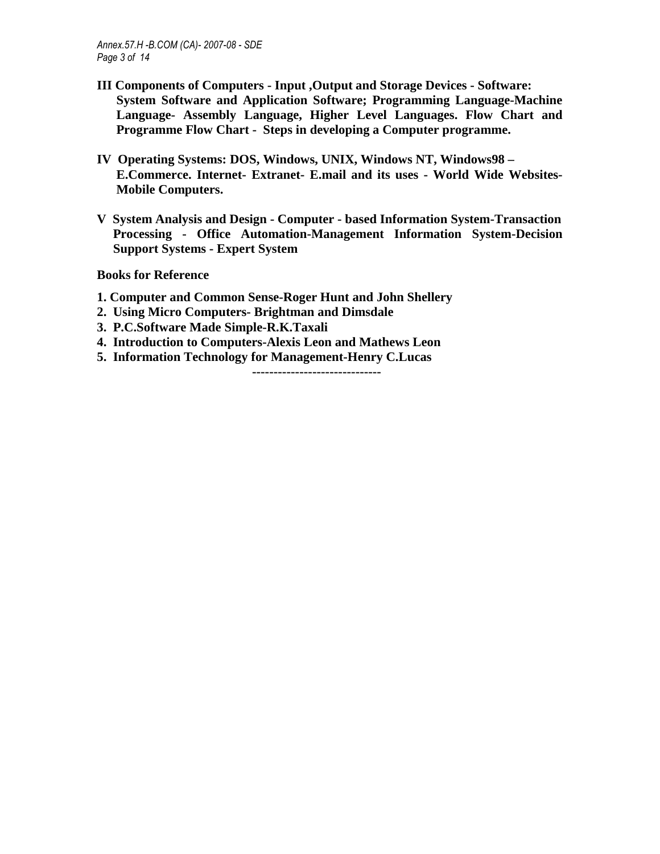- **III Components of Computers Input ,Output and Storage Devices Software: System Software and Application Software; Programming Language-Machine Language- Assembly Language, Higher Level Languages. Flow Chart and Programme Flow Chart - Steps in developing a Computer programme.**
- **IV Operating Systems: DOS, Windows, UNIX, Windows NT, Windows98 E.Commerce. Internet- Extranet- E.mail and its uses - World Wide Websites-Mobile Computers.**
- **V System Analysis and Design Computer based Information System-Transaction Processing - Office Automation-Management Information System-Decision Support Systems - Expert System**

**Books for Reference** 

- **1. Computer and Common Sense-Roger Hunt and John Shellery**
- **2. Using Micro Computers- Brightman and Dimsdale**
- **3. P.C.Software Made Simple-R.K.Taxali**
- **4. Introduction to Computers-Alexis Leon and Mathews Leon**
- **5. Information Technology for Management-Henry C.Lucas**

**------------------------------**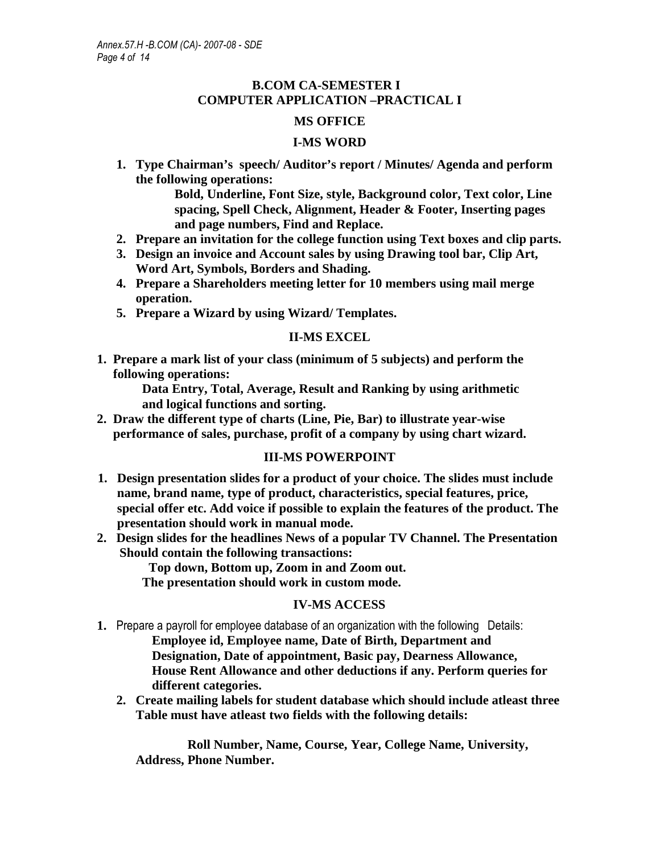### **B.COM CA-SEMESTER I COMPUTER APPLICATION –PRACTICAL I**

### **MS OFFICE**

#### **I-MS WORD**

**1. Type Chairman's speech/ Auditor's report / Minutes/ Agenda and perform the following operations:** 

> **Bold, Underline, Font Size, style, Background color, Text color, Line spacing, Spell Check, Alignment, Header & Footer, Inserting pages and page numbers, Find and Replace.**

- **2. Prepare an invitation for the college function using Text boxes and clip parts.**
- **3. Design an invoice and Account sales by using Drawing tool bar, Clip Art, Word Art, Symbols, Borders and Shading.**
- **4. Prepare a Shareholders meeting letter for 10 members using mail merge operation.**
- **5. Prepare a Wizard by using Wizard/ Templates.**

#### **II-MS EXCEL**

**1. Prepare a mark list of your class (minimum of 5 subjects) and perform the following operations:** 

 **Data Entry, Total, Average, Result and Ranking by using arithmetic and logical functions and sorting.** 

**2. Draw the different type of charts (Line, Pie, Bar) to illustrate year-wise performance of sales, purchase, profit of a company by using chart wizard.** 

### **III-MS POWERPOINT**

- **1. Design presentation slides for a product of your choice. The slides must include name, brand name, type of product, characteristics, special features, price, special offer etc. Add voice if possible to explain the features of the product. The presentation should work in manual mode.**
- **2. Design slides for the headlines News of a popular TV Channel. The Presentation Should contain the following transactions:**

 **Top down, Bottom up, Zoom in and Zoom out. The presentation should work in custom mode.** 

### **IV-MS ACCESS**

- **1.** Prepare a payroll for employee database of an organization with the following Details: **Employee id, Employee name, Date of Birth, Department and Designation, Date of appointment, Basic pay, Dearness Allowance, House Rent Allowance and other deductions if any. Perform queries for different categories.** 
	- **2. Create mailing labels for student database which should include atleast three Table must have atleast two fields with the following details:**

 **Roll Number, Name, Course, Year, College Name, University, Address, Phone Number.**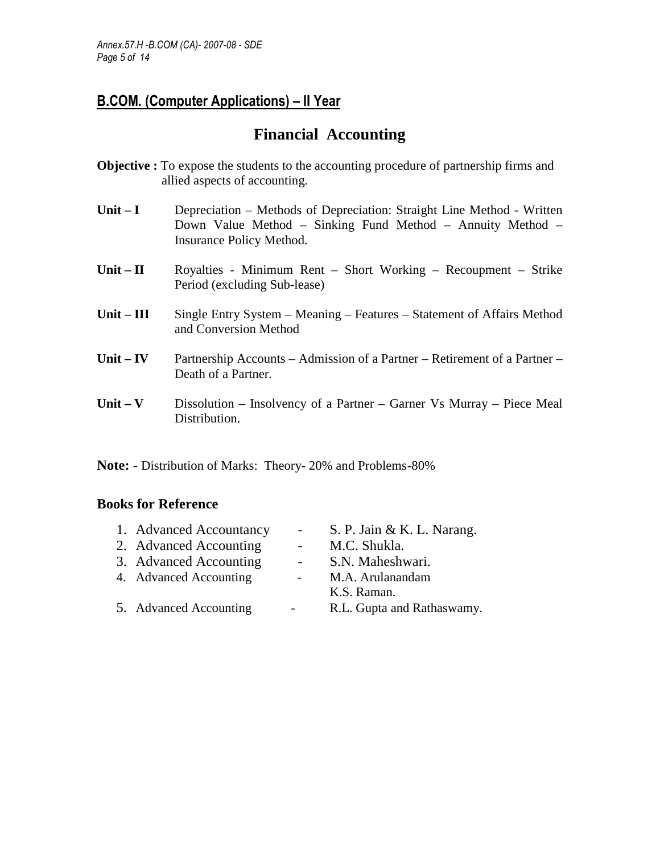# **Financial Accounting**

- **Objective :** To expose the students to the accounting procedure of partnership firms and allied aspects of accounting.
- **Unit I** Depreciation Methods of Depreciation: Straight Line Method Written Down Value Method – Sinking Fund Method – Annuity Method – Insurance Policy Method.
- Unit II **Royalties Minimum Rent Short Working Recoupment Strike** Period (excluding Sub-lease)
- Unit III Single Entry System Meaning Features Statement of Affairs Method and Conversion Method
- **Unit IV** Partnership Accounts Admission of a Partner Retirement of a Partner Death of a Partner.
- Unit V Dissolution Insolvency of a Partner Garner Vs Murray Piece Meal Distribution.

Note: - Distribution of Marks: Theory- 20% and Problems-80%

| 1. Advanced Accountancy | $\sim$ $-$       | S. P. Jain & K. L. Narang. |
|-------------------------|------------------|----------------------------|
| 2. Advanced Accounting  | $\sim$ 100 $\mu$ | M.C. Shukla.               |
| 3. Advanced Accounting  | $\sim$ 10 $\pm$  | S.N. Maheshwari.           |
| 4. Advanced Accounting  | $\sim 100$       | M.A. Arulanandam           |
|                         |                  | K.S. Raman.                |
| 5. Advanced Accounting  | -                | R.L. Gupta and Rathaswamy. |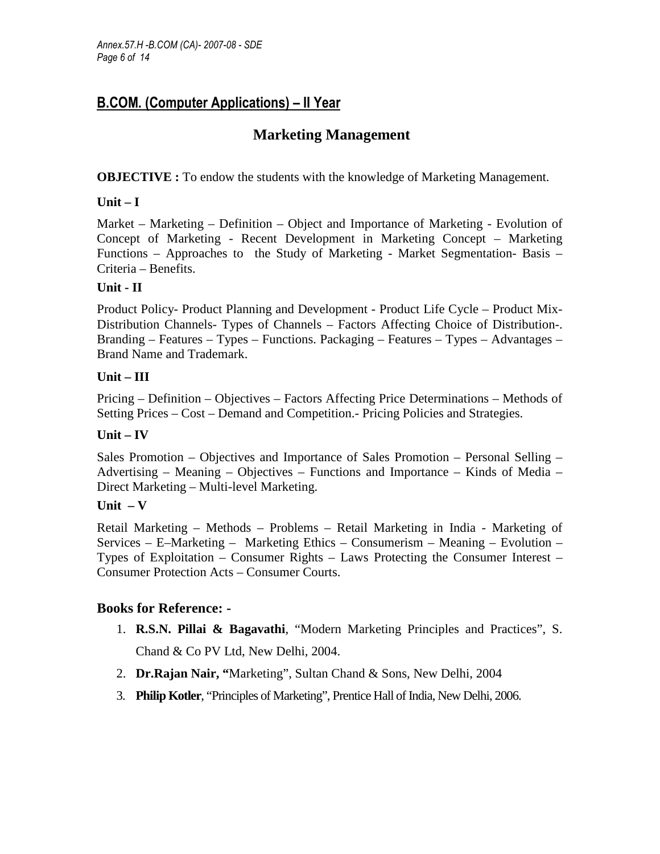## **Marketing Management**

**OBJECTIVE :** To endow the students with the knowledge of Marketing Management.

### **Unit – I**

Market – Marketing – Definition – Object and Importance of Marketing - Evolution of Concept of Marketing - Recent Development in Marketing Concept – Marketing Functions – Approaches to the Study of Marketing - Market Segmentation- Basis – Criteria – Benefits.

### **Unit - II**

Product Policy- Product Planning and Development - Product Life Cycle – Product Mix-Distribution Channels- Types of Channels – Factors Affecting Choice of Distribution-. Branding – Features – Types – Functions. Packaging – Features – Types – Advantages – Brand Name and Trademark.

### **Unit – III**

Pricing – Definition – Objectives – Factors Affecting Price Determinations – Methods of Setting Prices – Cost – Demand and Competition.- Pricing Policies and Strategies.

### **Unit – IV**

Sales Promotion – Objectives and Importance of Sales Promotion – Personal Selling – Advertising – Meaning – Objectives – Functions and Importance – Kinds of Media – Direct Marketing – Multi-level Marketing.

### **Unit – V**

Retail Marketing – Methods – Problems – Retail Marketing in India - Marketing of Services – E–Marketing – Marketing Ethics – Consumerism – Meaning – Evolution – Types of Exploitation – Consumer Rights – Laws Protecting the Consumer Interest – Consumer Protection Acts – Consumer Courts.

- 1. **R.S.N. Pillai & Bagavathi**, "Modern Marketing Principles and Practices", S. Chand & Co PV Ltd, New Delhi, 2004.
- 2. **Dr.Rajan Nair, "**Marketing", Sultan Chand & Sons, New Delhi, 2004
- 3. **Philip Kotler**, "Principles of Marketing", Prentice Hall of India, New Delhi, 2006.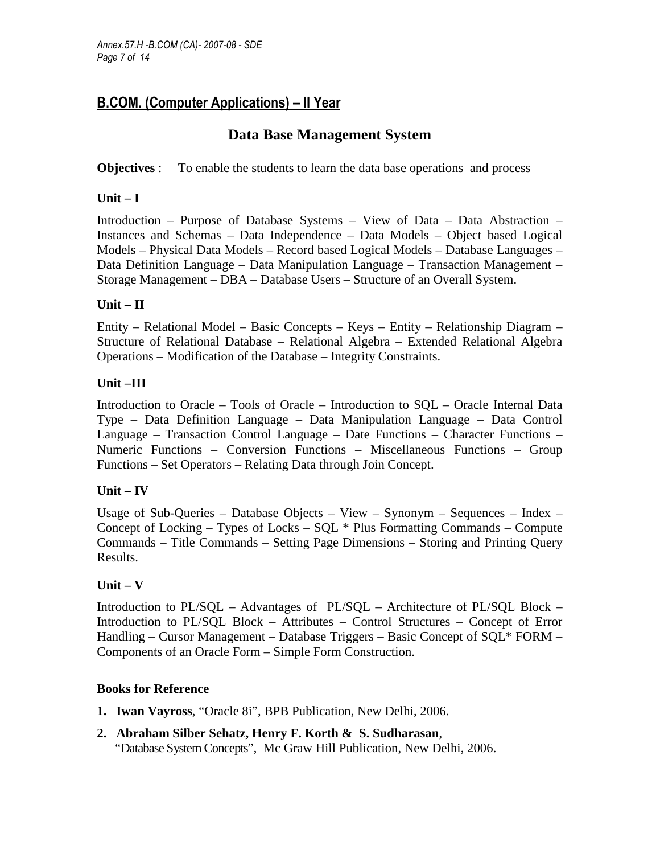### **Data Base Management System**

**Objectives** : To enable the students to learn the data base operations and process

### **Unit – I**

Introduction – Purpose of Database Systems – View of Data – Data Abstraction – Instances and Schemas – Data Independence – Data Models – Object based Logical Models – Physical Data Models – Record based Logical Models – Database Languages – Data Definition Language – Data Manipulation Language – Transaction Management – Storage Management – DBA – Database Users – Structure of an Overall System.

### **Unit – II**

Entity – Relational Model – Basic Concepts – Keys – Entity – Relationship Diagram – Structure of Relational Database – Relational Algebra – Extended Relational Algebra Operations – Modification of the Database – Integrity Constraints.

### **Unit –III**

Introduction to Oracle – Tools of Oracle – Introduction to SQL – Oracle Internal Data Type – Data Definition Language – Data Manipulation Language – Data Control Language – Transaction Control Language – Date Functions – Character Functions – Numeric Functions – Conversion Functions – Miscellaneous Functions – Group Functions – Set Operators – Relating Data through Join Concept.

### **Unit – IV**

Usage of Sub-Queries – Database Objects – View – Synonym – Sequences – Index – Concept of Locking – Types of Locks –  $SOL * Plus Formating Commands - Compute$ Commands – Title Commands – Setting Page Dimensions – Storing and Printing Query Results.

### **Unit – V**

Introduction to PL/SQL – Advantages of PL/SQL – Architecture of PL/SQL Block – Introduction to PL/SQL Block – Attributes – Control Structures – Concept of Error Handling – Cursor Management – Database Triggers – Basic Concept of SQL\* FORM – Components of an Oracle Form – Simple Form Construction.

- **1. Iwan Vayross**, "Oracle 8i", BPB Publication, New Delhi, 2006.
- **2. Abraham Silber Sehatz, Henry F. Korth & S. Sudharasan**, "Database System Concepts", Mc Graw Hill Publication, New Delhi, 2006.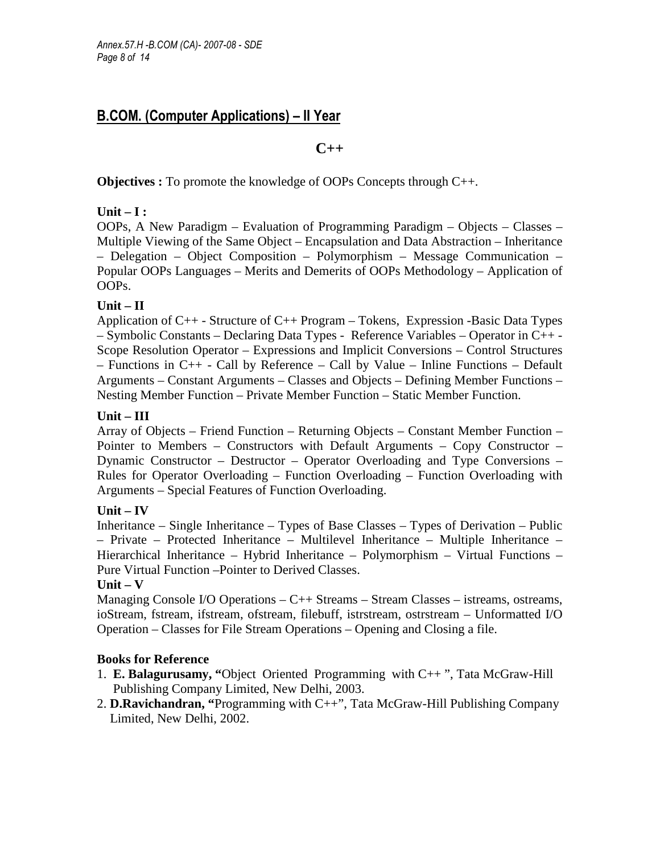#### **C++**

**Objectives :** To promote the knowledge of OOPs Concepts through C++.

### **Unit – I :**

OOPs, A New Paradigm – Evaluation of Programming Paradigm – Objects – Classes – Multiple Viewing of the Same Object – Encapsulation and Data Abstraction – Inheritance – Delegation – Object Composition – Polymorphism – Message Communication – Popular OOPs Languages – Merits and Demerits of OOPs Methodology – Application of OOPs.

### **Unit – II**

Application of C++ - Structure of C++ Program – Tokens, Expression -Basic Data Types – Symbolic Constants – Declaring Data Types - Reference Variables – Operator in C++ - Scope Resolution Operator – Expressions and Implicit Conversions – Control Structures – Functions in C++ - Call by Reference – Call by Value – Inline Functions – Default Arguments – Constant Arguments – Classes and Objects – Defining Member Functions – Nesting Member Function – Private Member Function – Static Member Function.

### **Unit – III**

Array of Objects – Friend Function – Returning Objects – Constant Member Function – Pointer to Members – Constructors with Default Arguments – Copy Constructor – Dynamic Constructor – Destructor – Operator Overloading and Type Conversions – Rules for Operator Overloading – Function Overloading – Function Overloading with Arguments – Special Features of Function Overloading.

### **Unit – IV**

Inheritance – Single Inheritance – Types of Base Classes – Types of Derivation – Public – Private – Protected Inheritance – Multilevel Inheritance – Multiple Inheritance – Hierarchical Inheritance – Hybrid Inheritance – Polymorphism – Virtual Functions – Pure Virtual Function –Pointer to Derived Classes.

### **Unit – V**

Managing Console I/O Operations – C++ Streams – Stream Classes – istreams, ostreams, ioStream, fstream, ifstream, ofstream, filebuff, istrstream, ostrstream – Unformatted I/O Operation – Classes for File Stream Operations – Opening and Closing a file.

- 1. **E. Balagurusamy, "**Object Oriented Programming with C++ ", Tata McGraw-Hill Publishing Company Limited, New Delhi, 2003.
- 2. **D.Ravichandran, "**Programming with C++", Tata McGraw-Hill Publishing Company Limited, New Delhi, 2002.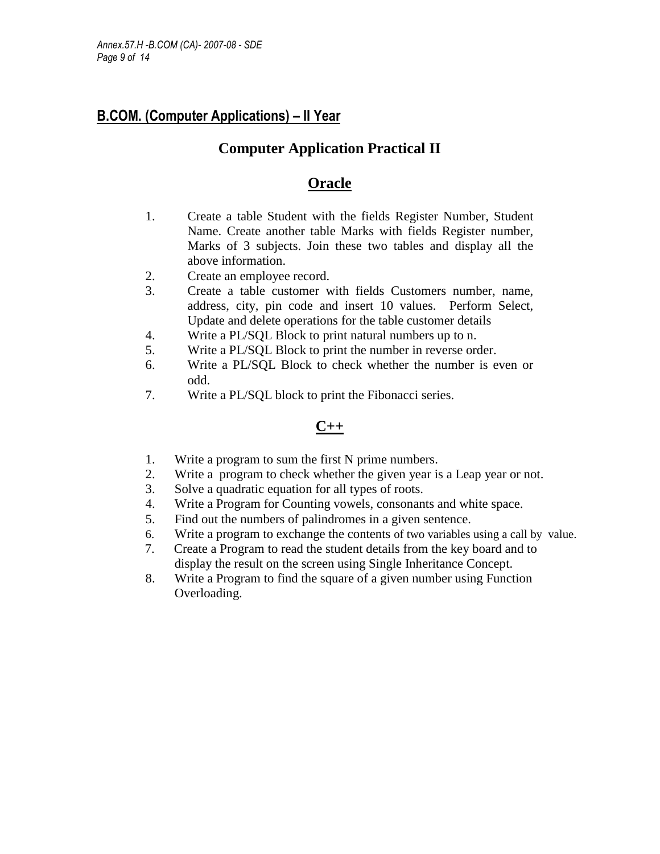### **Computer Application Practical II**

### **Oracle**

- 1. Create a table Student with the fields Register Number, Student Name. Create another table Marks with fields Register number, Marks of 3 subjects. Join these two tables and display all the above information.
- 2. Create an employee record.
- 3. Create a table customer with fields Customers number, name, address, city, pin code and insert 10 values. Perform Select, Update and delete operations for the table customer details
- 4. Write a PL/SQL Block to print natural numbers up to n.
- 5. Write a PL/SQL Block to print the number in reverse order.
- 6. Write a PL/SQL Block to check whether the number is even or odd.
- 7. Write a PL/SQL block to print the Fibonacci series.

### **C++**

- 1. Write a program to sum the first N prime numbers.
- 2. Write a program to check whether the given year is a Leap year or not.
- 3. Solve a quadratic equation for all types of roots.
- 4. Write a Program for Counting vowels, consonants and white space.
- 5. Find out the numbers of palindromes in a given sentence.
- 6. Write a program to exchange the contents of two variables using a call by value.
- 7. Create a Program to read the student details from the key board and to display the result on the screen using Single Inheritance Concept.
- 8. Write a Program to find the square of a given number using Function Overloading.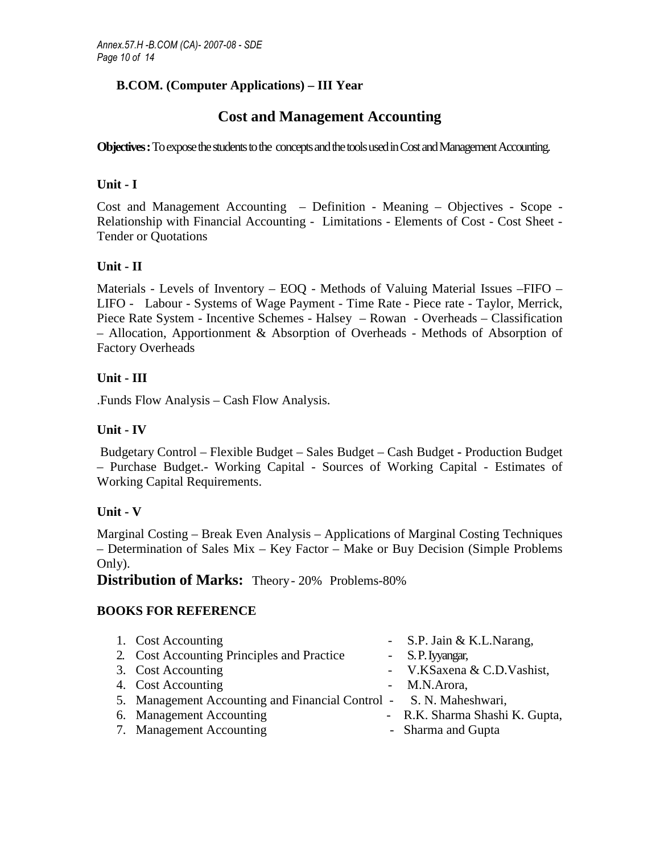### **Cost and Management Accounting**

**Objectives :** To expose the students to the concepts and the tools used in Cost and Management Accounting.

### **Unit - I**

Cost and Management Accounting – Definition - Meaning – Objectives - Scope - Relationship with Financial Accounting - Limitations - Elements of Cost - Cost Sheet - Tender or Quotations

### **Unit - II**

Materials - Levels of Inventory – EOQ - Methods of Valuing Material Issues –FIFO – LIFO - Labour - Systems of Wage Payment - Time Rate - Piece rate - Taylor, Merrick, Piece Rate System - Incentive Schemes - Halsey – Rowan - Overheads – Classification – Allocation, Apportionment & Absorption of Overheads - Methods of Absorption of Factory Overheads

### **Unit - III**

.Funds Flow Analysis – Cash Flow Analysis.

### **Unit - IV**

 Budgetary Control – Flexible Budget – Sales Budget – Cash Budget **-** Production Budget – Purchase Budget.- Working Capital - Sources of Working Capital - Estimates of Working Capital Requirements.

### **Unit - V**

Marginal Costing – Break Even Analysis – Applications of Marginal Costing Techniques – Determination of Sales Mix – Key Factor – Make or Buy Decision (Simple Problems Only).

**Distribution of Marks:** Theory-20% Problems-80%

### **BOOKS FOR REFERENCE**

| 1. Cost Accounting                                                 | - S.P. Jain & K.L.Narang,      |
|--------------------------------------------------------------------|--------------------------------|
| 2. Cost Accounting Principles and Practice                         | - S.P. Iyyangar,               |
| 3. Cost Accounting                                                 | - V.KSaxena & C.D.Vashist,     |
| 4. Cost Accounting                                                 | - M.N.Arora,                   |
| 5. Management Accounting and Financial Control - S. N. Maheshwari, |                                |
| 6. Management Accounting                                           | - R.K. Sharma Shashi K. Gupta, |
| 7. Management Accounting                                           | - Sharma and Gupta             |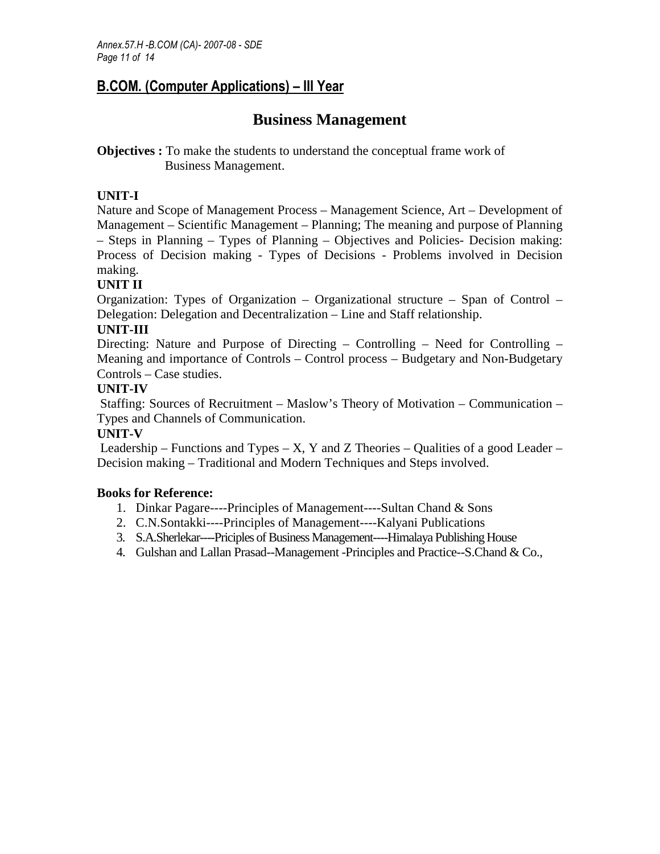### **Business Management**

**Objectives :** To make the students to understand the conceptual frame work of Business Management.

### **UNIT-I**

Nature and Scope of Management Process – Management Science, Art – Development of Management – Scientific Management – Planning; The meaning and purpose of Planning – Steps in Planning – Types of Planning – Objectives and Policies- Decision making: Process of Decision making - Types of Decisions - Problems involved in Decision making.

### **UNIT II**

Organization: Types of Organization – Organizational structure – Span of Control – Delegation: Delegation and Decentralization – Line and Staff relationship.

### **UNIT-III**

Directing: Nature and Purpose of Directing – Controlling – Need for Controlling – Meaning and importance of Controls – Control process – Budgetary and Non-Budgetary Controls – Case studies.

### **UNIT-IV**

 Staffing: Sources of Recruitment – Maslow's Theory of Motivation – Communication – Types and Channels of Communication.

### **UNIT-V**

Leadership – Functions and Types – X, Y and Z Theories – Qualities of a good Leader – Decision making – Traditional and Modern Techniques and Steps involved.

- 1. Dinkar Pagare----Principles of Management----Sultan Chand & Sons
- 2. C.N.Sontakki----Principles of Management----Kalyani Publications
- 3. S.A.Sherlekar----Priciples of Business Management----Himalaya Publishing House
- 4. Gulshan and Lallan Prasad--Management -Principles and Practice--S.Chand & Co.,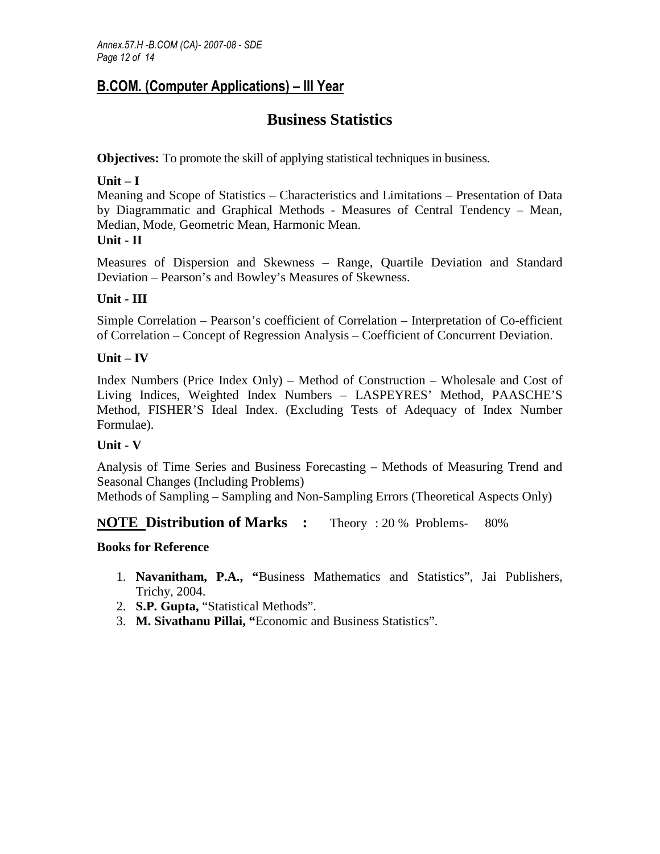## **Business Statistics**

**Objectives:** To promote the skill of applying statistical techniques in business.

### **Unit – I**

Meaning and Scope of Statistics – Characteristics and Limitations – Presentation of Data by Diagrammatic and Graphical Methods - Measures of Central Tendency – Mean, Median, Mode, Geometric Mean, Harmonic Mean.

### **Unit - II**

Measures of Dispersion and Skewness – Range, Quartile Deviation and Standard Deviation – Pearson's and Bowley's Measures of Skewness.

### **Unit - III**

Simple Correlation – Pearson's coefficient of Correlation – Interpretation of Co-efficient of Correlation – Concept of Regression Analysis – Coefficient of Concurrent Deviation.

### **Unit – IV**

Index Numbers (Price Index Only) – Method of Construction – Wholesale and Cost of Living Indices, Weighted Index Numbers – LASPEYRES' Method, PAASCHE'S Method, FISHER'S Ideal Index. (Excluding Tests of Adequacy of Index Number Formulae).

### **Unit - V**

Analysis of Time Series and Business Forecasting – Methods of Measuring Trend and Seasonal Changes (Including Problems)

Methods of Sampling – Sampling and Non-Sampling Errors (Theoretical Aspects Only)

### **NOTE Distribution of Marks :** Theory : 20 % Problems- 80%

- 1. **Navanitham, P.A., "**Business Mathematics and Statistics", Jai Publishers, Trichy, 2004.
- 2. **S.P. Gupta,** "Statistical Methods".
- 3. **M. Sivathanu Pillai, "**Economic and Business Statistics".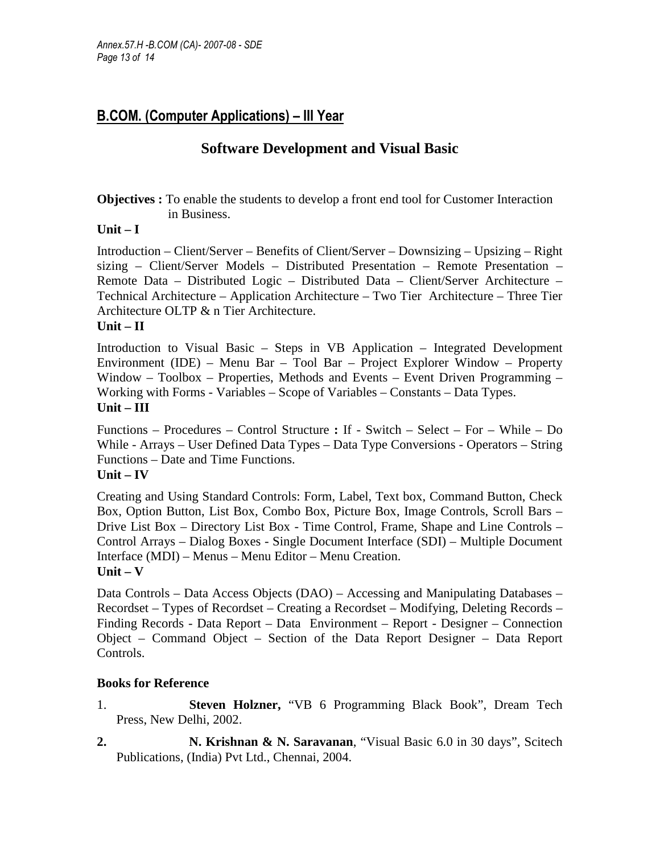### **Software Development and Visual Basic**

**Objectives :** To enable the students to develop a front end tool for Customer Interaction in Business.

### **Unit – I**

Introduction – Client/Server – Benefits of Client/Server – Downsizing – Upsizing – Right sizing – Client/Server Models – Distributed Presentation – Remote Presentation – Remote Data – Distributed Logic – Distributed Data – Client/Server Architecture – Technical Architecture – Application Architecture – Two Tier Architecture – Three Tier Architecture OLTP & n Tier Architecture.

### **Unit – II**

Introduction to Visual Basic – Steps in VB Application – Integrated Development Environment (IDE) – Menu Bar – Tool Bar – Project Explorer Window – Property Window – Toolbox – Properties, Methods and Events – Event Driven Programming – Working with Forms - Variables – Scope of Variables – Constants – Data Types. **Unit – III** 

Functions – Procedures – Control Structure **:** If - Switch – Select – For – While – Do While - Arrays – User Defined Data Types – Data Type Conversions - Operators – String Functions – Date and Time Functions.

**Unit – IV** 

Creating and Using Standard Controls: Form, Label, Text box, Command Button, Check Box, Option Button, List Box, Combo Box, Picture Box, Image Controls, Scroll Bars – Drive List Box – Directory List Box - Time Control, Frame, Shape and Line Controls – Control Arrays – Dialog Boxes - Single Document Interface (SDI) – Multiple Document Interface (MDI) – Menus – Menu Editor – Menu Creation. **Unit – V** 

Data Controls – Data Access Objects (DAO) – Accessing and Manipulating Databases – Recordset – Types of Recordset – Creating a Recordset – Modifying, Deleting Records – Finding Records - Data Report – Data Environment – Report - Designer – Connection Object – Command Object – Section of the Data Report Designer – Data Report Controls.

- 1. **Steven Holzner,** "VB 6 Programming Black Book", Dream Tech Press, New Delhi, 2002.
- **2. N. Krishnan & N. Saravanan**, "Visual Basic 6.0 in 30 days", Scitech Publications, (India) Pvt Ltd., Chennai, 2004.